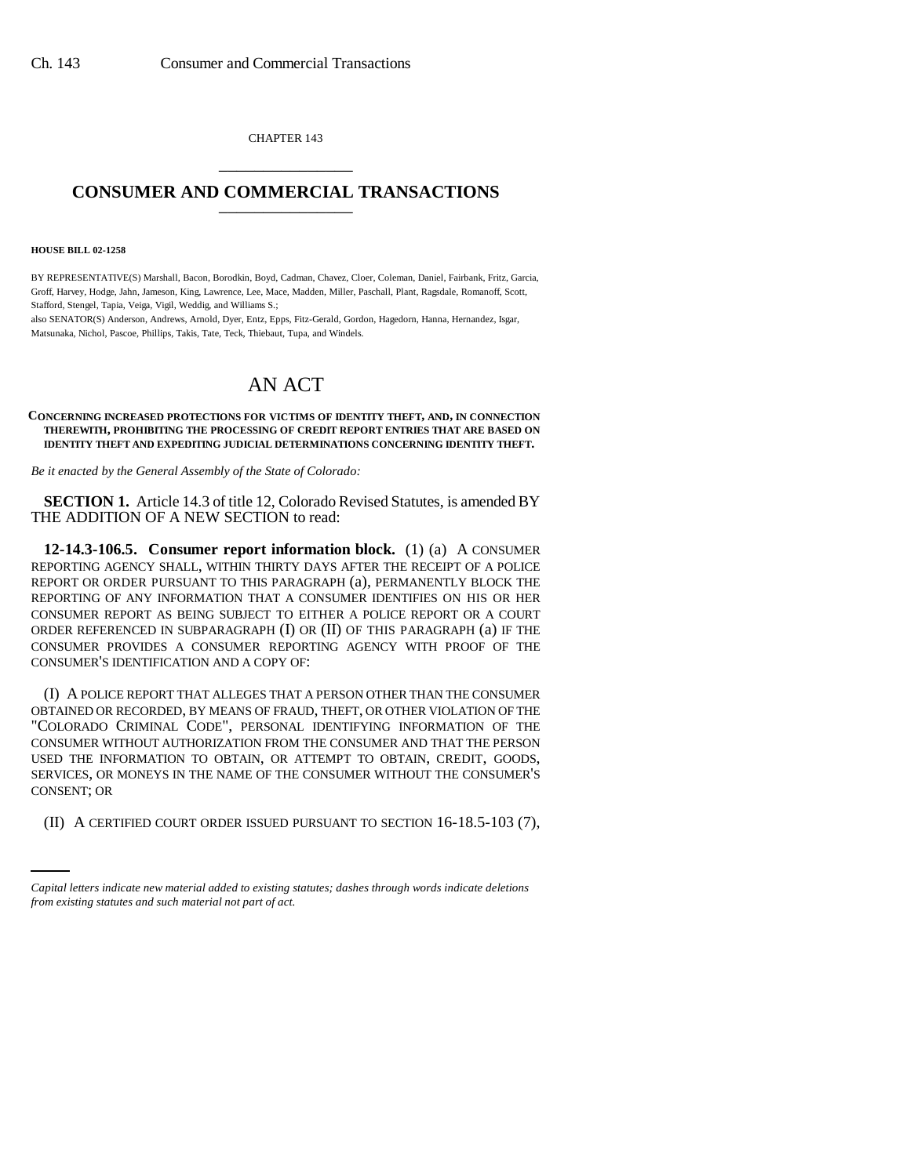CHAPTER 143 \_\_\_\_\_\_\_\_\_\_\_\_\_\_\_

## **CONSUMER AND COMMERCIAL TRANSACTIONS** \_\_\_\_\_\_\_\_\_\_\_\_\_\_\_

## **HOUSE BILL 02-1258**

BY REPRESENTATIVE(S) Marshall, Bacon, Borodkin, Boyd, Cadman, Chavez, Cloer, Coleman, Daniel, Fairbank, Fritz, Garcia, Groff, Harvey, Hodge, Jahn, Jameson, King, Lawrence, Lee, Mace, Madden, Miller, Paschall, Plant, Ragsdale, Romanoff, Scott, Stafford, Stengel, Tapia, Veiga, Vigil, Weddig, and Williams S.;

also SENATOR(S) Anderson, Andrews, Arnold, Dyer, Entz, Epps, Fitz-Gerald, Gordon, Hagedorn, Hanna, Hernandez, Isgar, Matsunaka, Nichol, Pascoe, Phillips, Takis, Tate, Teck, Thiebaut, Tupa, and Windels.

## AN ACT

## **CONCERNING INCREASED PROTECTIONS FOR VICTIMS OF IDENTITY THEFT, AND, IN CONNECTION THEREWITH, PROHIBITING THE PROCESSING OF CREDIT REPORT ENTRIES THAT ARE BASED ON IDENTITY THEFT AND EXPEDITING JUDICIAL DETERMINATIONS CONCERNING IDENTITY THEFT.**

*Be it enacted by the General Assembly of the State of Colorado:*

**SECTION 1.** Article 14.3 of title 12, Colorado Revised Statutes, is amended BY THE ADDITION OF A NEW SECTION to read:

**12-14.3-106.5. Consumer report information block.** (1) (a) A CONSUMER REPORTING AGENCY SHALL, WITHIN THIRTY DAYS AFTER THE RECEIPT OF A POLICE REPORT OR ORDER PURSUANT TO THIS PARAGRAPH (a), PERMANENTLY BLOCK THE REPORTING OF ANY INFORMATION THAT A CONSUMER IDENTIFIES ON HIS OR HER CONSUMER REPORT AS BEING SUBJECT TO EITHER A POLICE REPORT OR A COURT ORDER REFERENCED IN SUBPARAGRAPH (I) OR (II) OF THIS PARAGRAPH (a) IF THE CONSUMER PROVIDES A CONSUMER REPORTING AGENCY WITH PROOF OF THE CONSUMER'S IDENTIFICATION AND A COPY OF:

CONSENT; OR (I) A POLICE REPORT THAT ALLEGES THAT A PERSON OTHER THAN THE CONSUMER OBTAINED OR RECORDED, BY MEANS OF FRAUD, THEFT, OR OTHER VIOLATION OF THE "COLORADO CRIMINAL CODE", PERSONAL IDENTIFYING INFORMATION OF THE CONSUMER WITHOUT AUTHORIZATION FROM THE CONSUMER AND THAT THE PERSON USED THE INFORMATION TO OBTAIN, OR ATTEMPT TO OBTAIN, CREDIT, GOODS, SERVICES, OR MONEYS IN THE NAME OF THE CONSUMER WITHOUT THE CONSUMER'S

(II) A CERTIFIED COURT ORDER ISSUED PURSUANT TO SECTION 16-18.5-103 (7),

*Capital letters indicate new material added to existing statutes; dashes through words indicate deletions from existing statutes and such material not part of act.*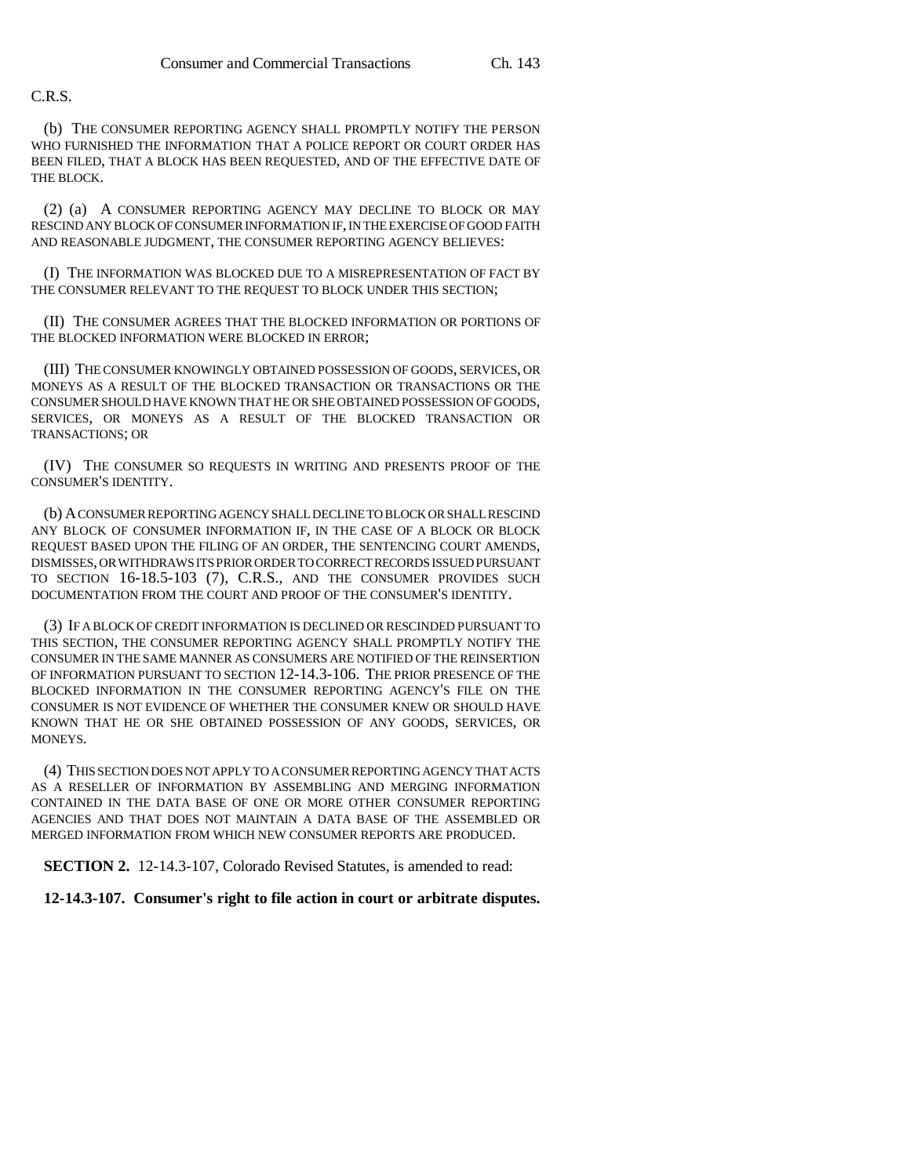C.R.S.

(b) THE CONSUMER REPORTING AGENCY SHALL PROMPTLY NOTIFY THE PERSON WHO FURNISHED THE INFORMATION THAT A POLICE REPORT OR COURT ORDER HAS BEEN FILED, THAT A BLOCK HAS BEEN REQUESTED, AND OF THE EFFECTIVE DATE OF THE BLOCK.

(2) (a) A CONSUMER REPORTING AGENCY MAY DECLINE TO BLOCK OR MAY RESCIND ANY BLOCK OF CONSUMER INFORMATION IF, IN THE EXERCISE OF GOOD FAITH AND REASONABLE JUDGMENT, THE CONSUMER REPORTING AGENCY BELIEVES:

(I) THE INFORMATION WAS BLOCKED DUE TO A MISREPRESENTATION OF FACT BY THE CONSUMER RELEVANT TO THE REQUEST TO BLOCK UNDER THIS SECTION;

(II) THE CONSUMER AGREES THAT THE BLOCKED INFORMATION OR PORTIONS OF THE BLOCKED INFORMATION WERE BLOCKED IN ERROR;

(III) THE CONSUMER KNOWINGLY OBTAINED POSSESSION OF GOODS, SERVICES, OR MONEYS AS A RESULT OF THE BLOCKED TRANSACTION OR TRANSACTIONS OR THE CONSUMER SHOULD HAVE KNOWN THAT HE OR SHE OBTAINED POSSESSION OF GOODS, SERVICES, OR MONEYS AS A RESULT OF THE BLOCKED TRANSACTION OR TRANSACTIONS; OR

(IV) THE CONSUMER SO REQUESTS IN WRITING AND PRESENTS PROOF OF THE CONSUMER'S IDENTITY.

(b) A CONSUMER REPORTING AGENCY SHALL DECLINE TO BLOCK OR SHALL RESCIND ANY BLOCK OF CONSUMER INFORMATION IF, IN THE CASE OF A BLOCK OR BLOCK REQUEST BASED UPON THE FILING OF AN ORDER, THE SENTENCING COURT AMENDS, DISMISSES, OR WITHDRAWS ITS PRIOR ORDER TO CORRECT RECORDS ISSUED PURSUANT TO SECTION 16-18.5-103 (7), C.R.S., AND THE CONSUMER PROVIDES SUCH DOCUMENTATION FROM THE COURT AND PROOF OF THE CONSUMER'S IDENTITY.

(3) IF A BLOCK OF CREDIT INFORMATION IS DECLINED OR RESCINDED PURSUANT TO THIS SECTION, THE CONSUMER REPORTING AGENCY SHALL PROMPTLY NOTIFY THE CONSUMER IN THE SAME MANNER AS CONSUMERS ARE NOTIFIED OF THE REINSERTION OF INFORMATION PURSUANT TO SECTION 12-14.3-106. THE PRIOR PRESENCE OF THE BLOCKED INFORMATION IN THE CONSUMER REPORTING AGENCY'S FILE ON THE CONSUMER IS NOT EVIDENCE OF WHETHER THE CONSUMER KNEW OR SHOULD HAVE KNOWN THAT HE OR SHE OBTAINED POSSESSION OF ANY GOODS, SERVICES, OR MONEYS.

(4) THIS SECTION DOES NOT APPLY TO A CONSUMER REPORTING AGENCY THAT ACTS AS A RESELLER OF INFORMATION BY ASSEMBLING AND MERGING INFORMATION CONTAINED IN THE DATA BASE OF ONE OR MORE OTHER CONSUMER REPORTING AGENCIES AND THAT DOES NOT MAINTAIN A DATA BASE OF THE ASSEMBLED OR MERGED INFORMATION FROM WHICH NEW CONSUMER REPORTS ARE PRODUCED.

**SECTION 2.** 12-14.3-107, Colorado Revised Statutes, is amended to read:

**12-14.3-107. Consumer's right to file action in court or arbitrate disputes.**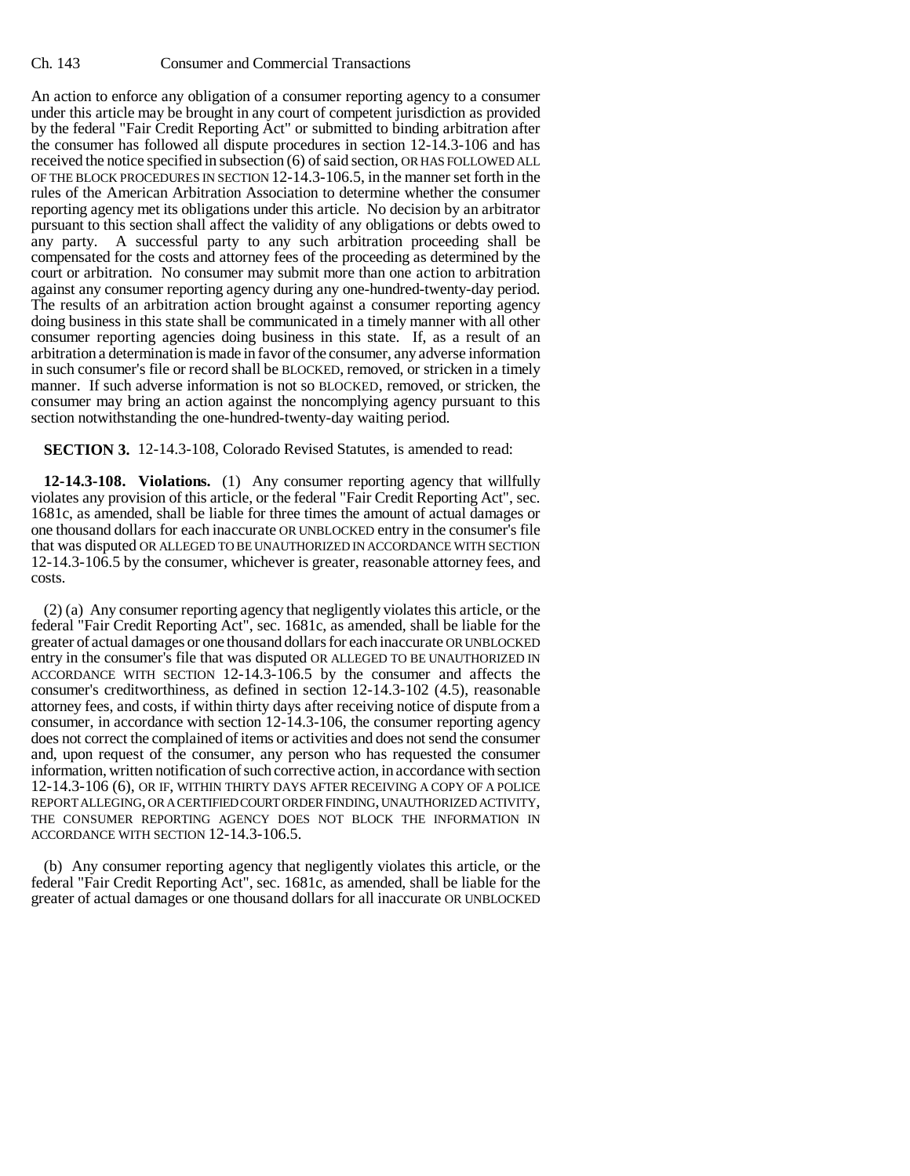Ch. 143 Consumer and Commercial Transactions

An action to enforce any obligation of a consumer reporting agency to a consumer under this article may be brought in any court of competent jurisdiction as provided by the federal "Fair Credit Reporting Act" or submitted to binding arbitration after the consumer has followed all dispute procedures in section 12-14.3-106 and has received the notice specified in subsection (6) of said section, OR HAS FOLLOWED ALL OF THE BLOCK PROCEDURES IN SECTION 12-14.3-106.5, in the manner set forth in the rules of the American Arbitration Association to determine whether the consumer reporting agency met its obligations under this article. No decision by an arbitrator pursuant to this section shall affect the validity of any obligations or debts owed to any party. A successful party to any such arbitration proceeding shall be compensated for the costs and attorney fees of the proceeding as determined by the court or arbitration. No consumer may submit more than one action to arbitration against any consumer reporting agency during any one-hundred-twenty-day period. The results of an arbitration action brought against a consumer reporting agency doing business in this state shall be communicated in a timely manner with all other consumer reporting agencies doing business in this state. If, as a result of an arbitration a determination is made in favor of the consumer, any adverse information in such consumer's file or record shall be BLOCKED, removed, or stricken in a timely manner. If such adverse information is not so BLOCKED, removed, or stricken, the consumer may bring an action against the noncomplying agency pursuant to this section notwithstanding the one-hundred-twenty-day waiting period.

**SECTION 3.** 12-14.3-108, Colorado Revised Statutes, is amended to read:

**12-14.3-108. Violations.** (1) Any consumer reporting agency that willfully violates any provision of this article, or the federal "Fair Credit Reporting Act", sec. 1681c, as amended, shall be liable for three times the amount of actual damages or one thousand dollars for each inaccurate OR UNBLOCKED entry in the consumer's file that was disputed OR ALLEGED TO BE UNAUTHORIZED IN ACCORDANCE WITH SECTION 12-14.3-106.5 by the consumer, whichever is greater, reasonable attorney fees, and costs.

(2) (a) Any consumer reporting agency that negligently violates this article, or the federal "Fair Credit Reporting Act", sec. 1681c, as amended, shall be liable for the greater of actual damages or one thousand dollars for each inaccurate OR UNBLOCKED entry in the consumer's file that was disputed OR ALLEGED TO BE UNAUTHORIZED IN ACCORDANCE WITH SECTION 12-14.3-106.5 by the consumer and affects the consumer's creditworthiness, as defined in section 12-14.3-102 (4.5), reasonable attorney fees, and costs, if within thirty days after receiving notice of dispute from a consumer, in accordance with section 12-14.3-106, the consumer reporting agency does not correct the complained of items or activities and does not send the consumer and, upon request of the consumer, any person who has requested the consumer information, written notification of such corrective action, in accordance with section 12-14.3-106 (6), OR IF, WITHIN THIRTY DAYS AFTER RECEIVING A COPY OF A POLICE REPORT ALLEGING, OR A CERTIFIED COURT ORDER FINDING, UNAUTHORIZED ACTIVITY, THE CONSUMER REPORTING AGENCY DOES NOT BLOCK THE INFORMATION IN ACCORDANCE WITH SECTION 12-14.3-106.5.

(b) Any consumer reporting agency that negligently violates this article, or the federal "Fair Credit Reporting Act", sec. 1681c, as amended, shall be liable for the greater of actual damages or one thousand dollars for all inaccurate OR UNBLOCKED